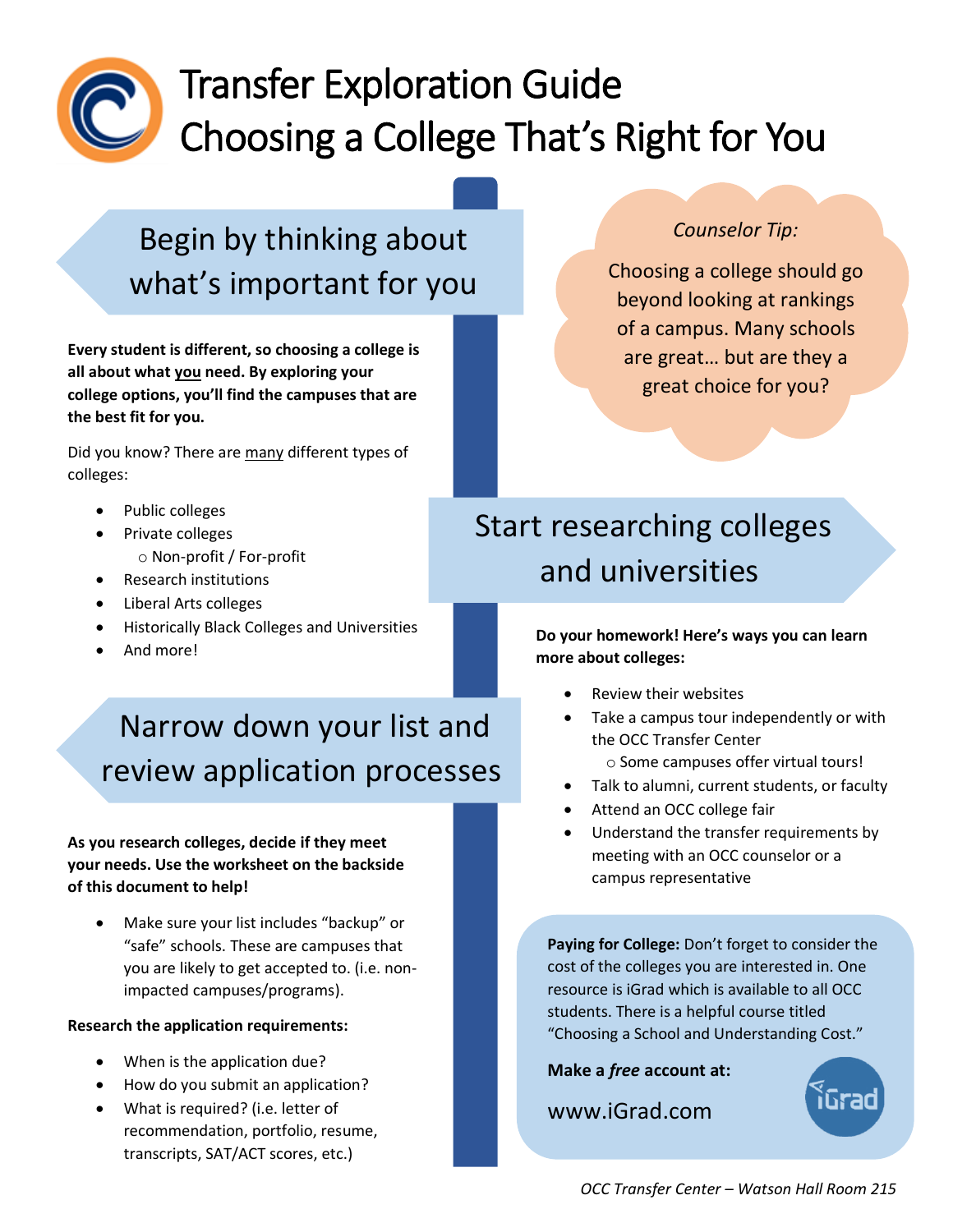

# Transfer Exploration Guide Choosing a College That's Right for You

Begin by thinking about what's important for you

**Every student is different, so choosing a college is all about what you need. By exploring your college options, you'll find the campuses that are the best fit for you.** 

Did you know? There are many different types of colleges:

- Public colleges
- Private colleges
	- o Non-profit / For-profit
- Research institutions
- Liberal Arts colleges
- Historically Black Colleges and Universities
- And more!

# Narrow down your list and review application processes

### **As you research colleges, decide if they meet your needs. Use the worksheet on the backside of this document to help!**

• Make sure your list includes "backup" or "safe" schools. These are campuses that you are likely to get accepted to. (i.e. nonimpacted campuses/programs).

#### **Research the application requirements:**

- When is the application due?
- How do you submit an application?
- What is required? (i.e. letter of recommendation, portfolio, resume, transcripts, SAT/ACT scores, etc.)

## *Counselor Tip:*

Choosing a college should go beyond looking at rankings of a campus. Many schools are great… but are they a great choice for you?

## Start researching colleges and universities

### **Do your homework! Here's ways you can learn more about colleges:**

- Review their websites
- Take a campus tour independently or with the OCC Transfer Center
	- o Some campuses offer virtual tours!
- Talk to alumni, current students, or faculty
- Attend an OCC college fair
- Understand the transfer requirements by meeting with an OCC counselor or a campus representative

**Paying for College:** Don't forget to consider the cost of the colleges you are interested in. One resource is iGrad which is available to all OCC students. There is a helpful course titled "Choosing a School and Understanding Cost."

**Make a** *free* **account at:**

www.iGrad.com